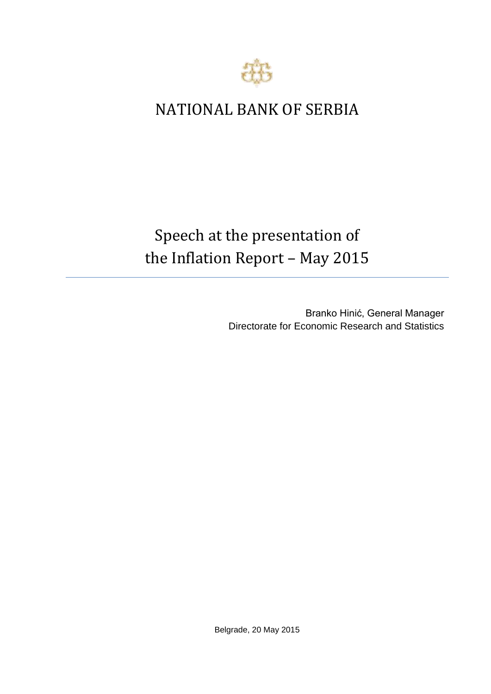

## NATIONAL BANK OF SERBIA

## Speech at the presentation of the Inflation Report – May 2015

Branko Hinić, General Manager Directorate for Economic Research and Statistics

Belgrade, 20 May 2015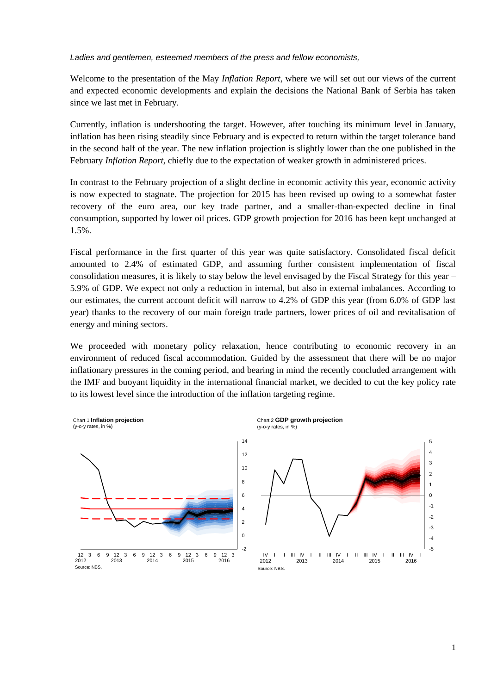*Ladies and gentlemen, esteemed members of the press and fellow economists,*

Welcome to the presentation of the May *Inflation Report*, where we will set out our views of the current and expected economic developments and explain the decisions the National Bank of Serbia has taken since we last met in February.

Currently, inflation is undershooting the target. However, after touching its minimum level in January, inflation has been rising steadily since February and is expected to return within the target tolerance band in the second half of the year. The new inflation projection is slightly lower than the one published in the February *Inflation Report,* chiefly due to the expectation of weaker growth in administered prices.

In contrast to the February projection of a slight decline in economic activity this year, economic activity is now expected to stagnate. The projection for 2015 has been revised up owing to a somewhat faster recovery of the euro area, our key trade partner, and a smaller-than-expected decline in final consumption, supported by lower oil prices. GDP growth projection for 2016 has been kept unchanged at 1.5%.

Fiscal performance in the first quarter of this year was quite satisfactory. Consolidated fiscal deficit amounted to 2.4% of estimated GDP, and assuming further consistent implementation of fiscal consolidation measures, it is likely to stay below the level envisaged by the Fiscal Strategy for this year – 5.9% of GDP. We expect not only a reduction in internal, but also in external imbalances. According to our estimates, the current account deficit will narrow to 4.2% of GDP this year (from 6.0% of GDP last year) thanks to the recovery of our main foreign trade partners, lower prices of oil and revitalisation of energy and mining sectors.

We proceeded with monetary policy relaxation, hence contributing to economic recovery in an environment of reduced fiscal accommodation. Guided by the assessment that there will be no major inflationary pressures in the coming period, and bearing in mind the recently concluded arrangement with the IMF and buoyant liquidity in the international financial market, we decided to cut the key policy rate to its lowest level since the introduction of the inflation targeting regime.

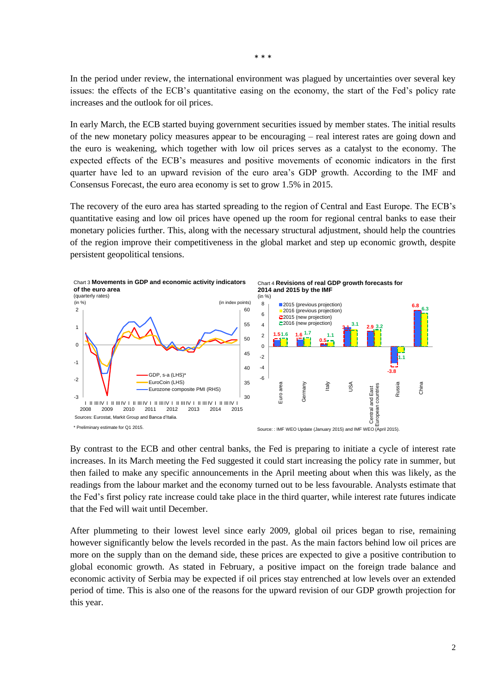In the period under review, the international environment was plagued by uncertainties over several key issues: the effects of the ECB's quantitative easing on the economy, the start of the Fed's policy rate increases and the outlook for oil prices.

In early March, the ECB started buying government securities issued by member states. The initial results of the new monetary policy measures appear to be encouraging – real interest rates are going down and the euro is weakening, which together with low oil prices serves as a catalyst to the economy. The expected effects of the ECB's measures and positive movements of economic indicators in the first quarter have led to an upward revision of the euro area's GDP growth. According to the IMF and Consensus Forecast, the euro area economy is set to grow 1.5% in 2015.

The recovery of the euro area has started spreading to the region of Central and East Europe. The ECB's quantitative easing and low oil prices have opened up the room for regional central banks to ease their monetary policies further. This, along with the necessary structural adjustment, should help the countries of the region improve their competitiveness in the global market and step up economic growth, despite persistent geopolitical tensions.



By contrast to the ECB and other central banks, the Fed is preparing to initiate a cycle of interest rate increases. In its March meeting the Fed suggested it could start increasing the policy rate in summer, but then failed to make any specific announcements in the April meeting about when this was likely, as the readings from the labour market and the economy turned out to be less favourable. Analysts estimate that the Fed's first policy rate increase could take place in the third quarter, while interest rate futures indicate that the Fed will wait until December.

After plummeting to their lowest level since early 2009, global oil prices began to rise, remaining however significantly below the levels recorded in the past. As the main factors behind low oil prices are more on the supply than on the demand side, these prices are expected to give a positive contribution to global economic growth. As stated in February, a positive impact on the foreign trade balance and economic activity of Serbia may be expected if oil prices stay entrenched at low levels over an extended period of time. This is also one of the reasons for the upward revision of our GDP growth projection for this year.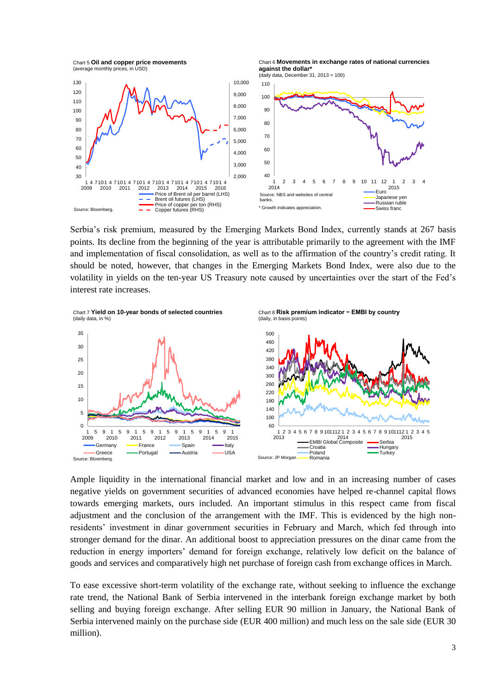

Chart 6 **Movements in exchange rates of national currencies against the dollar\***



Serbia's risk premium, measured by the Emerging Markets Bond Index, currently stands at 267 basis points. Its decline from the beginning of the year is attributable primarily to the agreement with the IMF and implementation of fiscal consolidation, as well as to the affirmation of the country's credit rating. It should be noted, however, that changes in the Emerging Markets Bond Index, were also due to the volatility in yields on the ten-year US Treasury note caused by uncertainties over the start of the Fed's interest rate increases.



Ample liquidity in the international financial market and low and in an increasing number of cases negative yields on government securities of advanced economies have helped re-channel capital flows towards emerging markets, ours included. An important stimulus in this respect came from fiscal adjustment and the conclusion of the arrangement with the IMF. This is evidenced by the high nonresidents' investment in dinar government securities in February and March, which fed through into stronger demand for the dinar. An additional boost to appreciation pressures on the dinar came from the reduction in energy importers' demand for foreign exchange, relatively low deficit on the balance of goods and services and comparatively high net purchase of foreign cash from exchange offices in March.

To ease excessive short-term volatility of the exchange rate, without seeking to influence the exchange rate trend, the National Bank of Serbia intervened in the interbank foreign exchange market by both selling and buying foreign exchange. After selling EUR 90 million in January, the National Bank of Serbia intervened mainly on the purchase side (EUR 400 million) and much less on the sale side (EUR 30 million).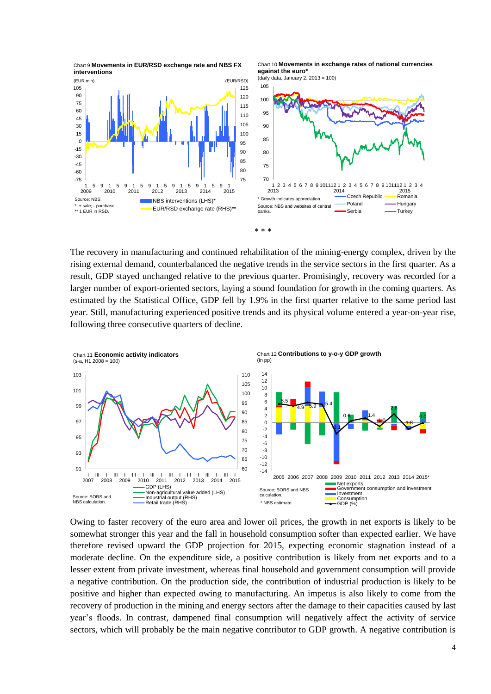

Chart 10 **Movements in exchange rates of national currencies against the euro\*** (daily data, January 2, 2013 = 100)



The recovery in manufacturing and continued rehabilitation of the mining-energy complex, driven by the rising external demand, counterbalanced the negative trends in the service sectors in the first quarter. As a result, GDP stayed unchanged relative to the previous quarter. Promisingly, recovery was recorded for a larger number of export-oriented sectors, laying a sound foundation for growth in the coming quarters. As estimated by the Statistical Office, GDP fell by 1.9% in the first quarter relative to the same period last year. Still, manufacturing experienced positive trends and its physical volume entered a year-on-year rise, following three consecutive quarters of decline.

\* \* \*



Owing to faster recovery of the euro area and lower oil prices, the growth in net exports is likely to be somewhat stronger this year and the fall in household consumption softer than expected earlier. We have therefore revised upward the GDP projection for 2015, expecting economic stagnation instead of a moderate decline. On the expenditure side, a positive contribution is likely from net exports and to a lesser extent from private investment, whereas final household and government consumption will provide a negative contribution. On the production side, the contribution of industrial production is likely to be positive and higher than expected owing to manufacturing. An impetus is also likely to come from the recovery of production in the mining and energy sectors after the damage to their capacities caused by last year's floods. In contrast, dampened final consumption will negatively affect the activity of service sectors, which will probably be the main negative contributor to GDP growth. A negative contribution is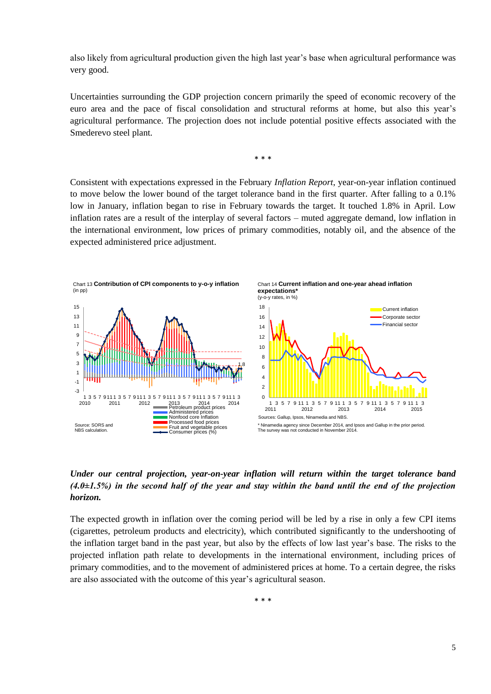also likely from agricultural production given the high last year's base when agricultural performance was very good.

Uncertainties surrounding the GDP projection concern primarily the speed of economic recovery of the euro area and the pace of fiscal consolidation and structural reforms at home, but also this year's agricultural performance. The projection does not include potential positive effects associated with the Smederevo steel plant.

\* \* \*

Consistent with expectations expressed in the February *Inflation Report*, year-on-year inflation continued to move below the lower bound of the target tolerance band in the first quarter. After falling to a 0.1% low in January, inflation began to rise in February towards the target. It touched 1.8% in April. Low inflation rates are a result of the interplay of several factors – muted aggregate demand, low inflation in the international environment, low prices of primary commodities, notably oil, and the absence of the expected administered price adjustment.



## *Under our central projection, year-on-year inflation will return within the target tolerance band (4.0±1.5%) in the second half of the year and stay within the band until the end of the projection horizon.*

The expected growth in inflation over the coming period will be led by a rise in only a few CPI items (cigarettes, petroleum products and electricity), which contributed significantly to the undershooting of the inflation target band in the past year, but also by the effects of low last year's base. The risks to the projected inflation path relate to developments in the international environment, including prices of primary commodities, and to the movement of administered prices at home. To a certain degree, the risks are also associated with the outcome of this year's agricultural season.

\* \* \*